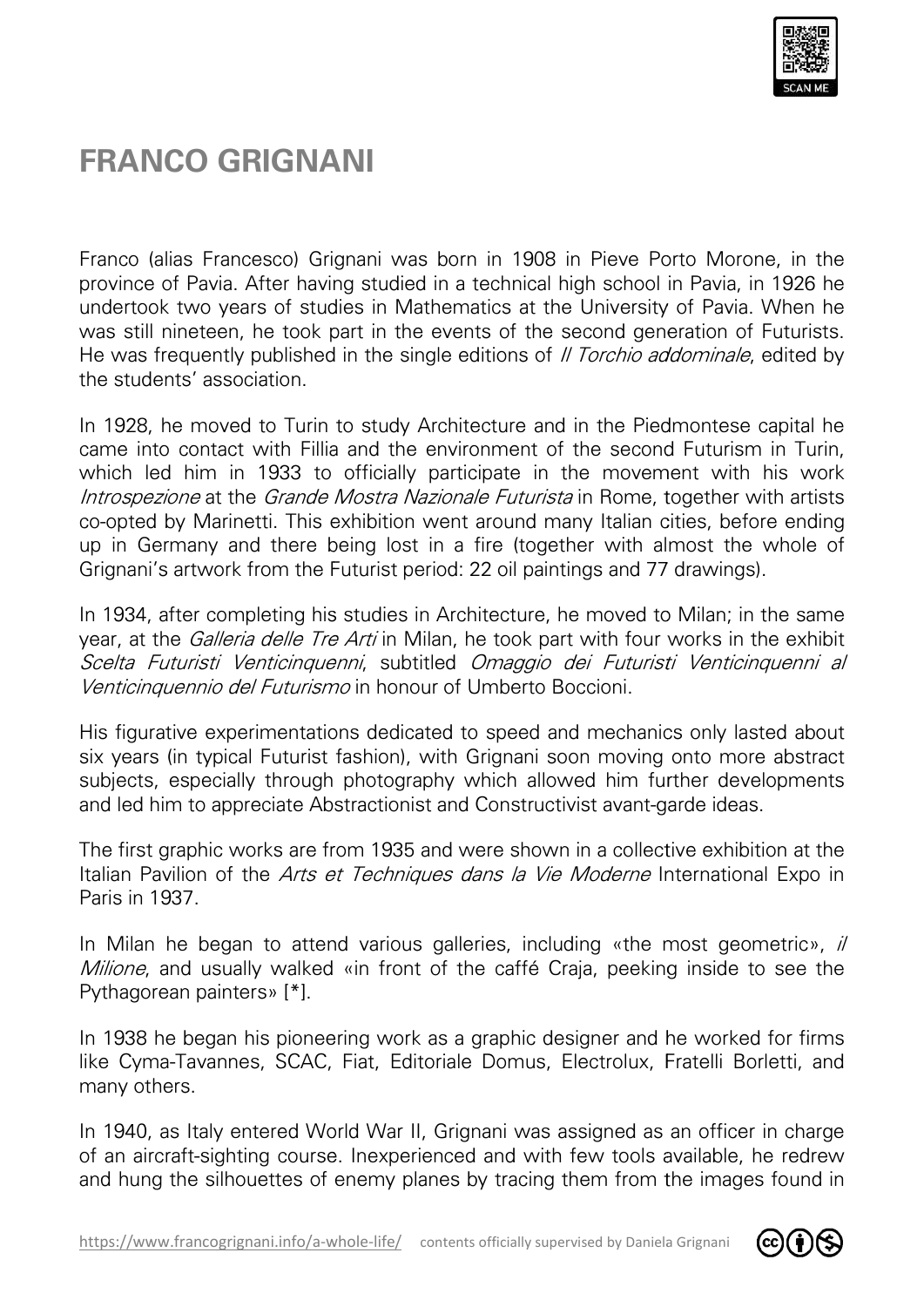

## **FRANCO GRIGNANI**

Franco (alias Francesco) Grignani was born in 1908 in Pieve Porto Morone, in the province of Pavia. After having studied in a technical high school in Pavia, in 1926 he undertook two years of studies in Mathematics at the University of Pavia. When he was still nineteen, he took part in the events of the second generation of Futurists. was still nineteen, he took part in the events of the second generation of Futurists.<br>He was frequently published in the single editions of *II Torchio addominale*, edited by the students' association.

In 1928, he moved to Turin to study Architecture and in the Piedmontese capital he came into contact with Fillia and the environment of the second Futurism in Turin, which led him in 1933 to officially participate in the movement with his work Introspezione at the Grande Mostra Nazionale Futurista in Rome, together with artists co-opted by Marinetti. This exhibition went around many Italian cities, before ending up in Germany and there being lost in a fire (together with almost the whole of Grignani's artwork from the Futurist period: 22 oil paintings and 77 drawings). is no the chincial high school in Paya Botto Morone, in the<br>din a technical high school in Pavia, in 1926 he the thinematics at the University of Pavia. When he<br>events of the second generation of Futurists.<br>gle editions o

In 1934, after completing his studies in Architecture, he moved to Milan; in the same year, at the *Galleria delle Tre Arti* in Milan, he took part with four works in the exhibit Scelta Futuristi Venticinquenni, subtitled Omaggio dei Futuristi Venticinquenni al Venticinquennio del Futurismo in honour of Umberto Boccioni.

His figurative experimentations dedicated to speed and mechanics only lasted about six years (in typical Futurist fashion), with Grignani soon moving onto more abstract subjects, especially through photography which allowed him further developments and led him to appreciate Abstractionist and Constructivist avant avant-garde ideas.

and led him to appreciate Abstractionist and Constructivist avant-garde ideas.<br>The first graphic works are from 1935 and were shown in a collective exhibition at the Italian Pavilion of the Arts et Techniques dans la Vie Moderne International Expo in Paris in 1937.

In Milan he began to attend various galleries, including «the most geometric», il Milione, and usually walked «in front of the caffé Craja, peeking inside to see the Pythagorean painters» [\*].

In 1938 he began his pioneering work as a graphic designer and he worked for firms like Cyma-Tavannes, SCAC, Fiat, Editoriale Domus, Electrolux, Fratelli Borletti, and many others. like Cyma-Tavannes, SCAC, Fiat, Editoriale Domus, Electrolux, Fratelli Borletti, and<br>many others.<br>In 1940, as Italy entered World War II, Grignani was assigned as an officer in charge

of an aircraft-sighting course. Inexperienced and with few tools available, he redrew and hung the silhouettes of enemy planes by tracing them from the images found in

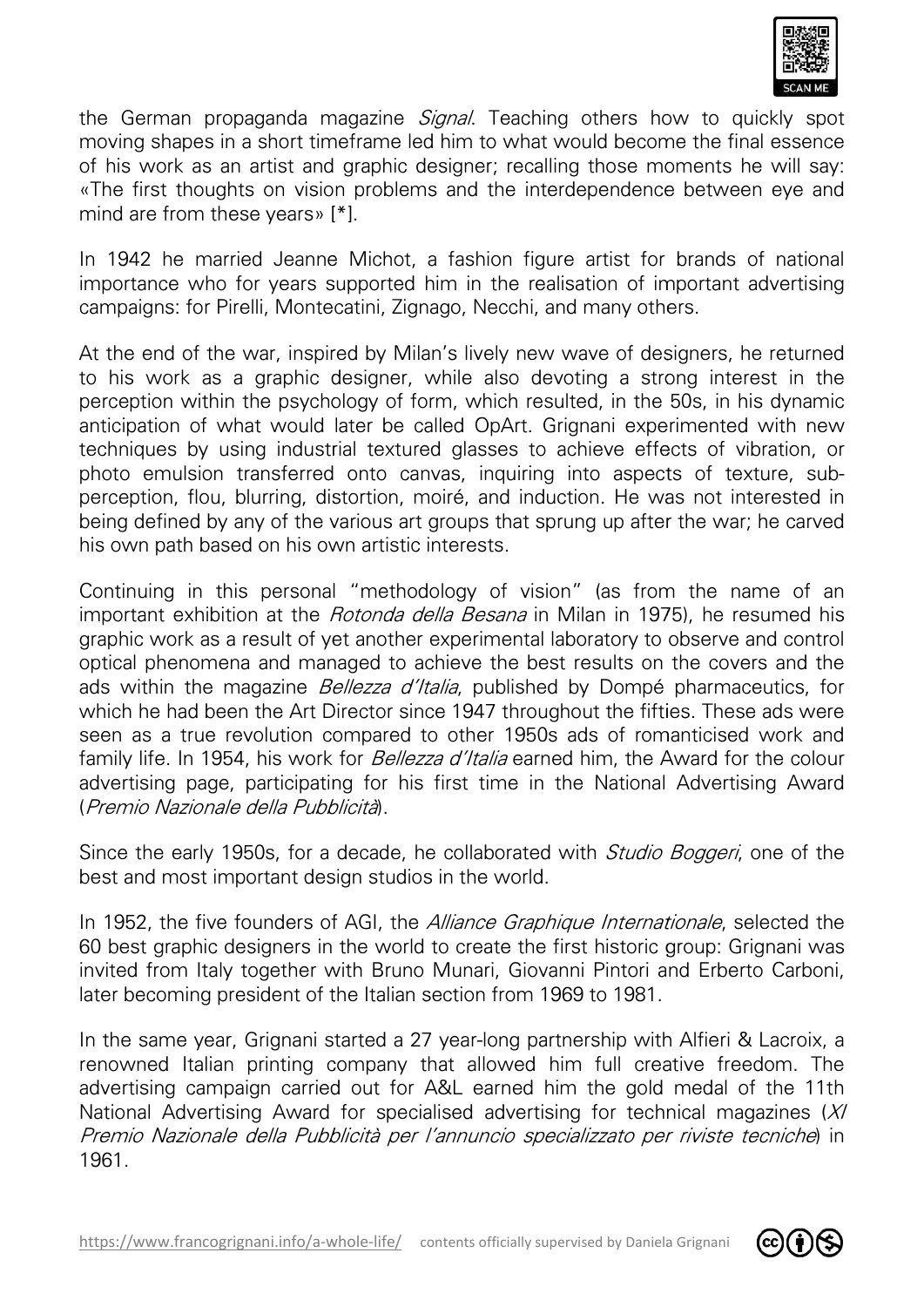

the German propaganda magazine Signal. Teaching others how to quickly spot moving shapes in a short timeframe led him to what would become the final essence of his work as an artist and graphic designer; recalling those moments he will say: «The first thoughts on vision problems and the interdependence between eye and «The first thoughts on vision  $\mu$  mind are from these years» [\*].

In 1942 he married Jeanne Michot, a fashion figure artist for brands of national importance who for years supported him in the realisation of important advertising campaigns: for Pirelli, Montecatini, Zignago, Necchi, and many others.

campaigns: for Pirelli, Montecatini, Zignago, Necchi, and many others.<br>At the end of the war, inspired by Milan's lively new wave of designers, he returned to his work as a graphic designer, while also devoting a strong interest in the perception within the psychology of form, which resulted, in the 50s, in his dynamic anticipation of what would later be called OpArt. Grignani experimented with new techniques by using industrial textured glasses to achieve effects of vibration, or photo emulsion transferred onto canvas, inquiring into aspects of texture, subperception, flou, blurring, distortion, moiré, and induction. He was not interested in perception, flou, blurring, distortion, moiré, and induction. He was not interested in<br>being defined by any of the various art groups that sprung up after the war; he carved his own path based on his own artistic interests.

Continuing in this personal "methodology of vision" (as from the name of an important exhibition at the *Rotonda della Besana* in Milan in 1975), he resumed his graphic work as a result of yet another experimental laboratory to observe and control optical phenomena and managed to achieve the best results on the covers and the ads within the magazine *Bellezza d'Italia*, published by Dompé pharmaceutics, for which he had been the Art Director since 1947 throughout the fifties. These ads were seen as a true revolution compared to other 1950s ads of romanticised work and family life. In 1954, his work for *Bellezza d'Italia* earned him, the Award for the colour advertising page, participating for his first time in the National Advertising Award (Premio Nazionale della Pubblicità ). *Sigmal.* Teaching others how to quickly spotedy spotes and thim to what would become the final essence designer; recalling those moments he will say:<br>The advant minimum of the interdependence between eye and a fashion fig

Since the early 1950s, for a decade, he collaborated with *Studio Boggeri*, one of the best and most important design studios in the world.

In 1952, the five founders of AGI, the *Alliance Graphique Internationale*, selected the 60 best graphic designers in the world to create the first historic group: Grignani was invited from Italy together with Bruno Munari, Giovanni Pintori and Erberto Carboni, later becoming president of the Italian section from 1969 to 1981.

In the same year, Grignani started a 27 year-long partnership with Alfieri & Lacroix, a renowned Italian printing company that allowed him full creative freedom. The advertising campaign carried out for A&L earned him the gold medal of the 11th National Advertising Award for specialised advertising for technical magazines (XI Premio Nazionale della Pubblicità per l'annuncio specializzato per riviste tecniche) in 1961.

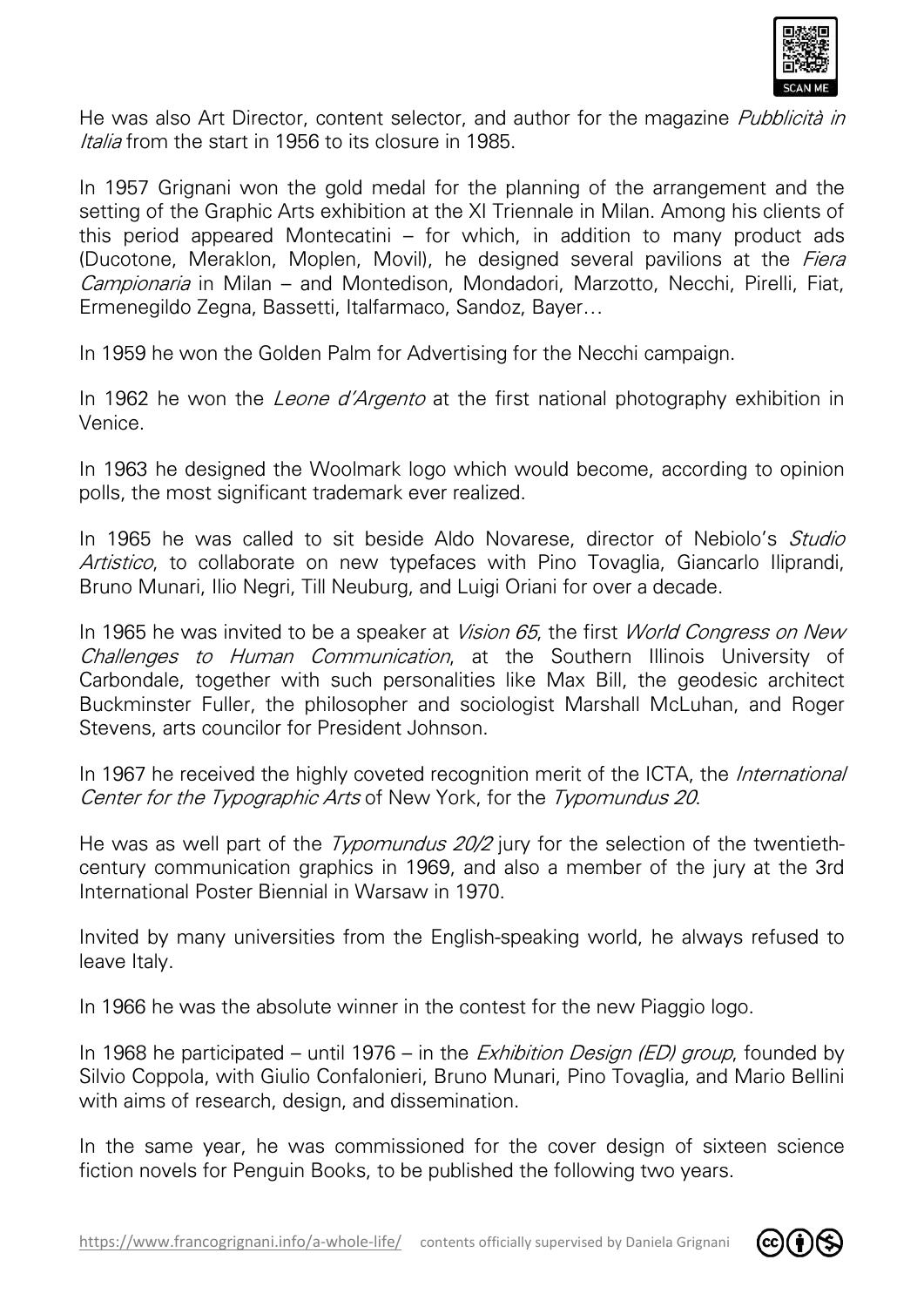

He was also Art Director, content selector, and author for the magazine Italia from the start in 1956 to its closure in 1985.

In 1957 Grignani won the gold medal for the planning of the arrangement and the setting of the Graphic Arts exhibition at the XI Triennale in Milan. Among his clients of this period appeared Montecatini – for which, in addition to many product ads (Ducotone, Meraklon, Moplen, Movil), he designed several pavilions at the Fiera Campionaria in Milan - and Montedison, Mondadori, Marzotto, Necchi, Pirelli, Fiat, Ermenegildo Zegna, Bassetti, Italfarmaco, Sandoz, Bayer... ector, and author for the magazine *Pubblicità in*<br>
in for the planning of the arrangement and the<br>
the the XI Triennale in Milan. Among his clients of<br>
for which, in addition to many product ads<br>
b), he designed several p

In 1959 he won the Golden Palm for Advertising for the Necchi campaign.

In 1962 he won the *Leone d'Argento* at the first national photography exhibition in Venice.

In 1963 he designed the Woolmark logo which would become, according to opinion polls, the most significant trademark ever realized.

In 1965 he was called to sit beside Aldo Novarese, director of Nebiolo's Studio Artistico, to collaborate on new typefaces with Pino Tovaglia, Giancarlo Iliprandi, Bruno Munari, Ilio Negri, Till Neuburg, and Luigi Oriani for over a decade.

In 1965 he was invited to be a speaker at *Vision 65*, the first *World Congress on New* Challenges to Human Communication, at the Southern Illinois University of Carbondale, together with such personalities like Max Bill, the geodesic architect Buckminster Fuller, the philosopher and sociologist Marshall McLuhan, and Roger Stevens, arts councilor for President Johnson.

In 1967 he received the highly coveted recognition merit of the ICTA, the *International* Center for the Typographic Arts of New York, for the Typomundus 20.

He was as well part of the *Typomundus 20/2* jury for the selection of the twentiethcentury communication graphics in 1969, and also a member of the jury at the 3rd International Poster Biennial in Warsaw in 1970.

Invited by many universities from the English-speaking world, he always refused to leave Italy.

In 1966 he was the absolute winner in the contest for the new Piaggio logo. In 1966

In 1968 he participated – until 1976 – in the *Exhibition Design (ED) group*, founded by Silvio Coppola, with Giulio Confalonieri, Bruno Munari, Pino Tovaglia, and Mario Bellini with aims of research, design, and dissemination.

In the same year, he was commissioned for the cover design of sixteen science fiction novels for Penguin Books, to be published the following two years.